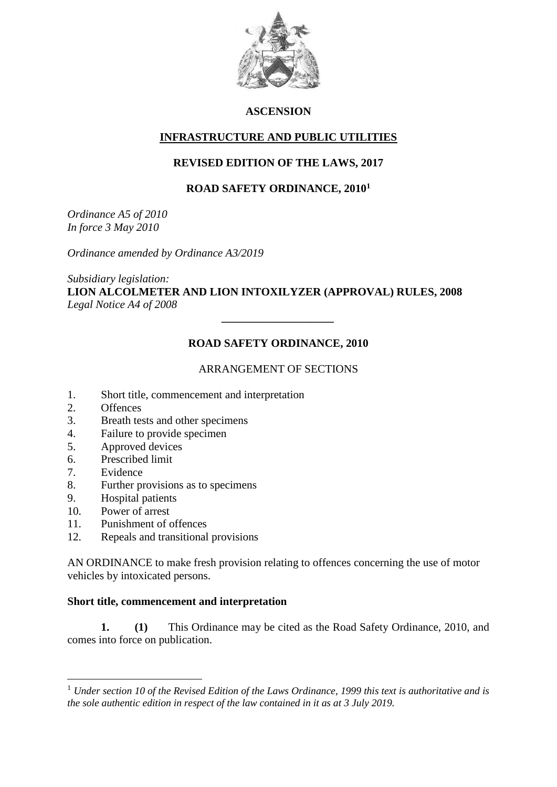

## **ASCENSION**

## **INFRASTRUCTURE AND PUBLIC UTILITIES**

# **REVISED EDITION OF THE LAWS, 2017**

## **ROAD SAFETY ORDINANCE, 2010<sup>1</sup>**

*Ordinance A5 of 2010 In force 3 May 2010*

*Ordinance amended by Ordinance A3/2019*

*Subsidiary legislation:* **LION ALCOLMETER AND LION INTOXILYZER (APPROVAL) RULES, 2008** *Legal Notice A4 of 2008*

# **ROAD SAFETY ORDINANCE, 2010**

*\_\_\_\_\_\_\_\_\_\_\_\_\_\_\_\_\_\_\_\_*

## ARRANGEMENT OF SECTIONS

- 1. Short title, commencement and interpretation
- 2. Offences
- 3. Breath tests and other specimens
- 4. Failure to provide specimen
- 5. Approved devices
- 6. Prescribed limit
- 7. Evidence

1

- 8. Further provisions as to specimens
- 9. Hospital patients
- 10. Power of arrest
- 11. Punishment of offences
- 12. Repeals and transitional provisions

AN ORDINANCE to make fresh provision relating to offences concerning the use of motor vehicles by intoxicated persons.

### **Short title, commencement and interpretation**

**1. (1)** This Ordinance may be cited as the Road Safety Ordinance, 2010, and comes into force on publication.

<sup>1</sup> *Under section 10 of the Revised Edition of the Laws Ordinance, 1999 this text is authoritative and is the sole authentic edition in respect of the law contained in it as at 3 July 2019.*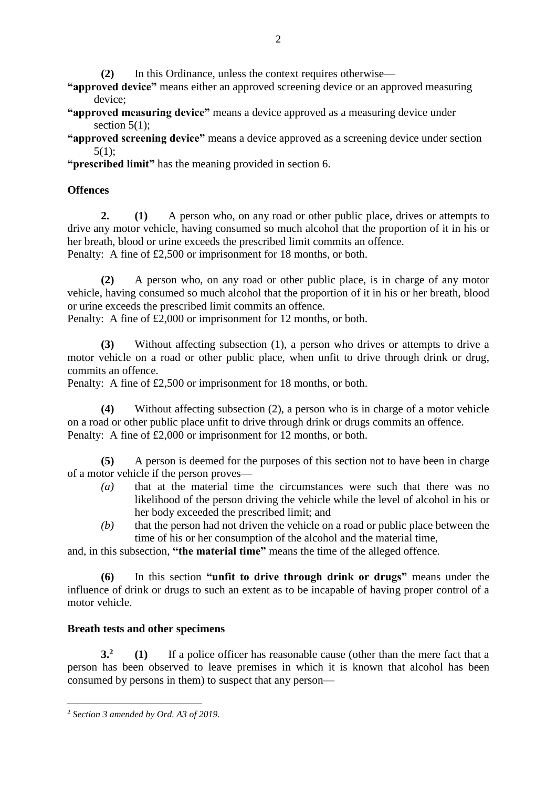**(2)** In this Ordinance, unless the context requires otherwise—

**"approved device"** means either an approved screening device or an approved measuring device;

**"approved measuring device"** means a device approved as a measuring device under section  $5(1)$ ;

**"approved screening device"** means a device approved as a screening device under section 5(1);

**"prescribed limit"** has the meaning provided in section 6.

# **Offences**

**2. (1)** A person who, on any road or other public place, drives or attempts to drive any motor vehicle, having consumed so much alcohol that the proportion of it in his or her breath, blood or urine exceeds the prescribed limit commits an offence. Penalty: A fine of £2,500 or imprisonment for 18 months, or both.

**(2)** A person who, on any road or other public place, is in charge of any motor vehicle, having consumed so much alcohol that the proportion of it in his or her breath, blood or urine exceeds the prescribed limit commits an offence.

Penalty: A fine of £2,000 or imprisonment for 12 months, or both.

**(3)** Without affecting subsection (1), a person who drives or attempts to drive a motor vehicle on a road or other public place, when unfit to drive through drink or drug, commits an offence.

Penalty: A fine of £2,500 or imprisonment for 18 months, or both.

**(4)** Without affecting subsection (2), a person who is in charge of a motor vehicle on a road or other public place unfit to drive through drink or drugs commits an offence. Penalty: A fine of £2,000 or imprisonment for 12 months, or both.

**(5)** A person is deemed for the purposes of this section not to have been in charge of a motor vehicle if the person proves—

- *(a)* that at the material time the circumstances were such that there was no likelihood of the person driving the vehicle while the level of alcohol in his or her body exceeded the prescribed limit; and
- *(b)* that the person had not driven the vehicle on a road or public place between the time of his or her consumption of the alcohol and the material time,

and, in this subsection, **"the material time"** means the time of the alleged offence.

**(6)** In this section **"unfit to drive through drink or drugs"** means under the influence of drink or drugs to such an extent as to be incapable of having proper control of a motor vehicle.

# **Breath tests and other specimens**

**3.<sup>2</sup> (1)** If a police officer has reasonable cause (other than the mere fact that a person has been observed to leave premises in which it is known that alcohol has been consumed by persons in them) to suspect that any person—

<sup>1</sup> <sup>2</sup> *Section 3 amended by Ord. A3 of 2019.*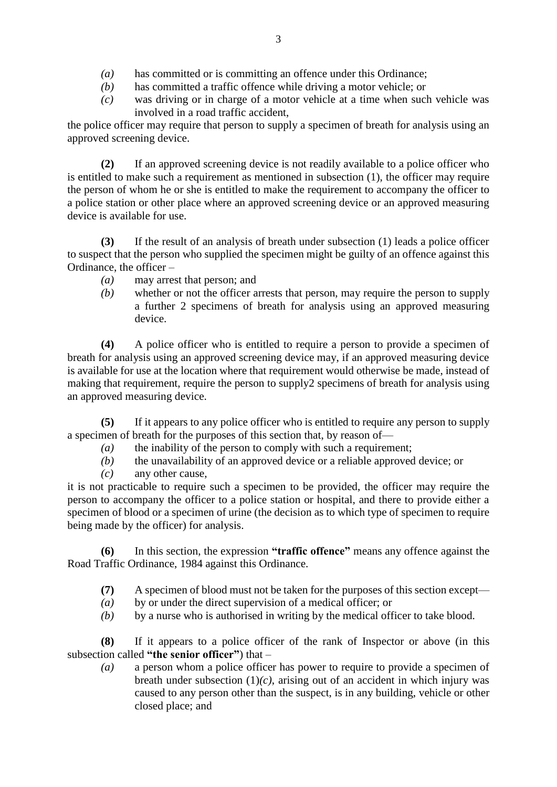- *(a)* has committed or is committing an offence under this Ordinance;
- *(b)* has committed a traffic offence while driving a motor vehicle; or
- *(c)* was driving or in charge of a motor vehicle at a time when such vehicle was involved in a road traffic accident,

the police officer may require that person to supply a specimen of breath for analysis using an approved screening device.

**(2)** If an approved screening device is not readily available to a police officer who is entitled to make such a requirement as mentioned in subsection (1), the officer may require the person of whom he or she is entitled to make the requirement to accompany the officer to a police station or other place where an approved screening device or an approved measuring device is available for use.

**(3)** If the result of an analysis of breath under subsection (1) leads a police officer to suspect that the person who supplied the specimen might be guilty of an offence against this Ordinance, the officer –

- *(a)* may arrest that person; and
- *(b)* whether or not the officer arrests that person, may require the person to supply a further 2 specimens of breath for analysis using an approved measuring device.

**(4)** A police officer who is entitled to require a person to provide a specimen of breath for analysis using an approved screening device may, if an approved measuring device is available for use at the location where that requirement would otherwise be made, instead of making that requirement, require the person to supply2 specimens of breath for analysis using an approved measuring device.

**(5)** If it appears to any police officer who is entitled to require any person to supply a specimen of breath for the purposes of this section that, by reason of—

- *(a)* the inability of the person to comply with such a requirement;
- *(b)* the unavailability of an approved device or a reliable approved device; or
- *(c)* any other cause,

it is not practicable to require such a specimen to be provided, the officer may require the person to accompany the officer to a police station or hospital, and there to provide either a specimen of blood or a specimen of urine (the decision as to which type of specimen to require being made by the officer) for analysis.

**(6)** In this section, the expression **"traffic offence"** means any offence against the Road Traffic Ordinance, 1984 against this Ordinance.

- **(7)** A specimen of blood must not be taken for the purposes of this section except—
- *(a)* by or under the direct supervision of a medical officer; or
- *(b)* by a nurse who is authorised in writing by the medical officer to take blood.

**(8)** If it appears to a police officer of the rank of Inspector or above (in this subsection called **"the senior officer"**) that –

*(a)* a person whom a police officer has power to require to provide a specimen of breath under subsection  $(1)(c)$ , arising out of an accident in which injury was caused to any person other than the suspect, is in any building, vehicle or other closed place; and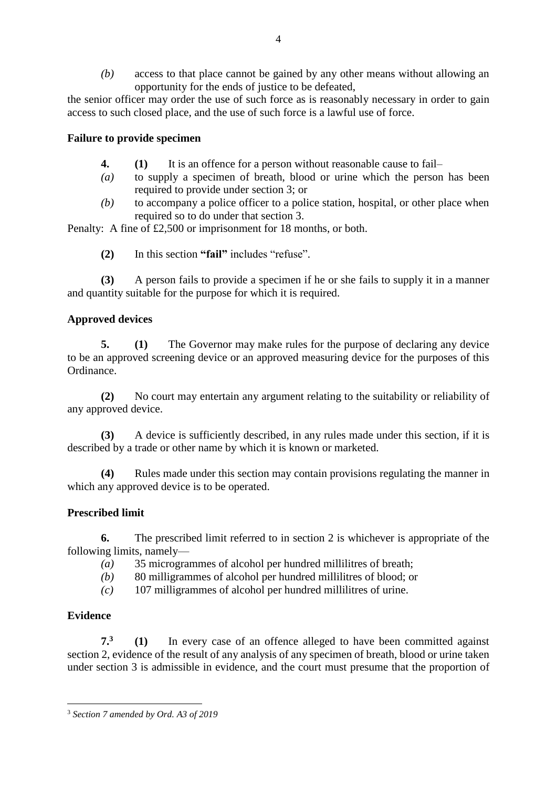*(b)* access to that place cannot be gained by any other means without allowing an opportunity for the ends of justice to be defeated,

the senior officer may order the use of such force as is reasonably necessary in order to gain access to such closed place, and the use of such force is a lawful use of force.

## **Failure to provide specimen**

- **4. (1)** It is an offence for a person without reasonable cause to fail–
- *(a)* to supply a specimen of breath, blood or urine which the person has been required to provide under section 3; or
- *(b)* to accompany a police officer to a police station, hospital, or other place when required so to do under that section 3.

Penalty: A fine of £2,500 or imprisonment for 18 months, or both.

**(2)** In this section **"fail"** includes "refuse".

**(3)** A person fails to provide a specimen if he or she fails to supply it in a manner and quantity suitable for the purpose for which it is required.

## **Approved devices**

**5. (1)** The Governor may make rules for the purpose of declaring any device to be an approved screening device or an approved measuring device for the purposes of this Ordinance.

**(2)** No court may entertain any argument relating to the suitability or reliability of any approved device.

**(3)** A device is sufficiently described, in any rules made under this section, if it is described by a trade or other name by which it is known or marketed.

**(4)** Rules made under this section may contain provisions regulating the manner in which any approved device is to be operated.

### **Prescribed limit**

**6.** The prescribed limit referred to in section 2 is whichever is appropriate of the following limits, namely—

- *(a)* 35 microgrammes of alcohol per hundred millilitres of breath;
- *(b)* 80 milligrammes of alcohol per hundred millilitres of blood; or
- *(c)* 107 milligrammes of alcohol per hundred millilitres of urine.

# **Evidence**

**7.<sup>3</sup> (1)** In every case of an offence alleged to have been committed against section 2, evidence of the result of any analysis of any specimen of breath, blood or urine taken under section 3 is admissible in evidence, and the court must presume that the proportion of

<sup>1</sup> <sup>3</sup> *Section 7 amended by Ord. A3 of 2019*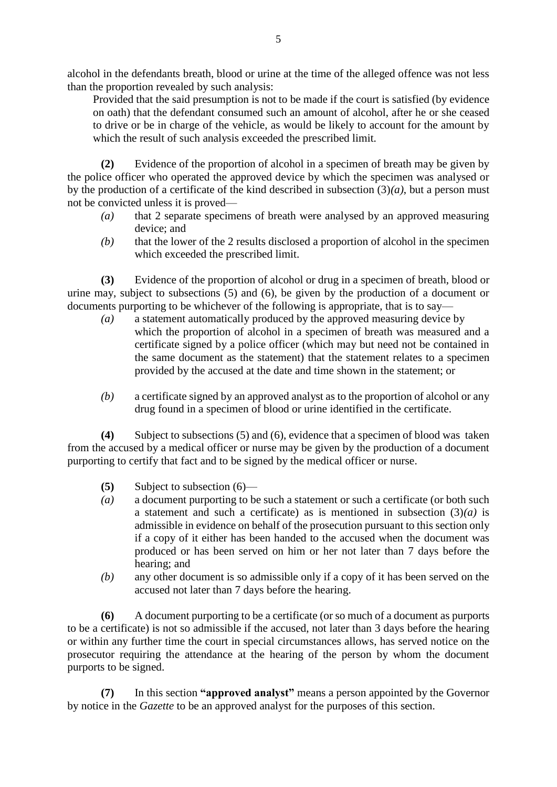alcohol in the defendants breath, blood or urine at the time of the alleged offence was not less than the proportion revealed by such analysis:

Provided that the said presumption is not to be made if the court is satisfied (by evidence on oath) that the defendant consumed such an amount of alcohol, after he or she ceased to drive or be in charge of the vehicle, as would be likely to account for the amount by which the result of such analysis exceeded the prescribed limit.

**(2)** Evidence of the proportion of alcohol in a specimen of breath may be given by the police officer who operated the approved device by which the specimen was analysed or by the production of a certificate of the kind described in subsection (3)*(a)*, but a person must not be convicted unless it is proved—

- *(a)* that 2 separate specimens of breath were analysed by an approved measuring device; and
- *(b)* that the lower of the 2 results disclosed a proportion of alcohol in the specimen which exceeded the prescribed limit.

**(3)** Evidence of the proportion of alcohol or drug in a specimen of breath, blood or urine may, subject to subsections (5) and (6), be given by the production of a document or documents purporting to be whichever of the following is appropriate, that is to say—

- *(a)* a statement automatically produced by the approved measuring device by which the proportion of alcohol in a specimen of breath was measured and a certificate signed by a police officer (which may but need not be contained in the same document as the statement) that the statement relates to a specimen provided by the accused at the date and time shown in the statement; or
- *(b)* a certificate signed by an approved analyst as to the proportion of alcohol or any drug found in a specimen of blood or urine identified in the certificate.

**(4)** Subject to subsections (5) and (6), evidence that a specimen of blood was taken from the accused by a medical officer or nurse may be given by the production of a document purporting to certify that fact and to be signed by the medical officer or nurse.

- **(5)** Subject to subsection (6)—
- *(a)* a document purporting to be such a statement or such a certificate (or both such a statement and such a certificate) as is mentioned in subsection  $(3)(a)$  is admissible in evidence on behalf of the prosecution pursuant to this section only if a copy of it either has been handed to the accused when the document was produced or has been served on him or her not later than 7 days before the hearing; and
- *(b)* any other document is so admissible only if a copy of it has been served on the accused not later than 7 days before the hearing.

**(6)** A document purporting to be a certificate (or so much of a document as purports to be a certificate) is not so admissible if the accused, not later than 3 days before the hearing or within any further time the court in special circumstances allows, has served notice on the prosecutor requiring the attendance at the hearing of the person by whom the document purports to be signed.

**(7)** In this section **"approved analyst"** means a person appointed by the Governor by notice in the *Gazette* to be an approved analyst for the purposes of this section.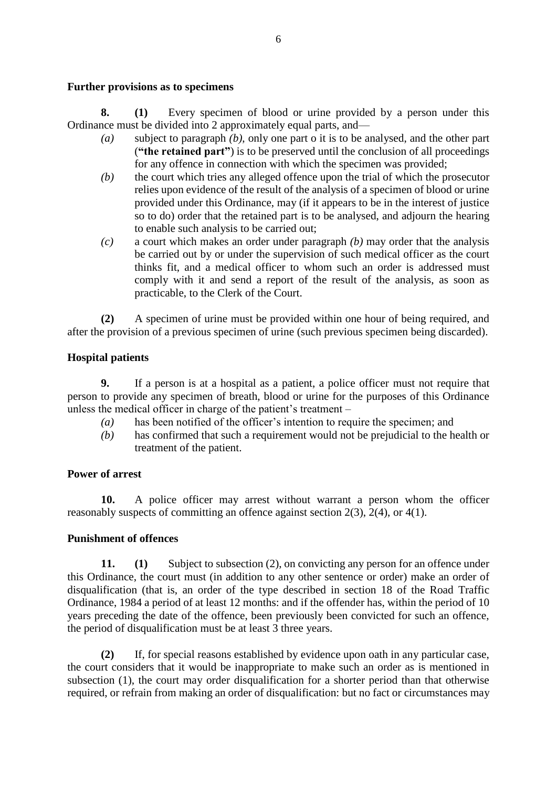#### **Further provisions as to specimens**

**8. (1)** Every specimen of blood or urine provided by a person under this Ordinance must be divided into 2 approximately equal parts, and—

- *(a)* subject to paragraph *(b)*, only one part o it is to be analysed, and the other part (**"the retained part"**) is to be preserved until the conclusion of all proceedings for any offence in connection with which the specimen was provided;
- *(b)* the court which tries any alleged offence upon the trial of which the prosecutor relies upon evidence of the result of the analysis of a specimen of blood or urine provided under this Ordinance, may (if it appears to be in the interest of justice so to do) order that the retained part is to be analysed, and adjourn the hearing to enable such analysis to be carried out;
- *(c)* a court which makes an order under paragraph *(b)* may order that the analysis be carried out by or under the supervision of such medical officer as the court thinks fit, and a medical officer to whom such an order is addressed must comply with it and send a report of the result of the analysis, as soon as practicable, to the Clerk of the Court.

**(2)** A specimen of urine must be provided within one hour of being required, and after the provision of a previous specimen of urine (such previous specimen being discarded).

### **Hospital patients**

**9.** If a person is at a hospital as a patient, a police officer must not require that person to provide any specimen of breath, blood or urine for the purposes of this Ordinance unless the medical officer in charge of the patient's treatment –

- *(a)* has been notified of the officer's intention to require the specimen; and
- *(b)* has confirmed that such a requirement would not be prejudicial to the health or treatment of the patient.

#### **Power of arrest**

**10.** A police officer may arrest without warrant a person whom the officer reasonably suspects of committing an offence against section 2(3), 2(4), or 4(1).

#### **Punishment of offences**

**11. (1)** Subject to subsection (2), on convicting any person for an offence under this Ordinance, the court must (in addition to any other sentence or order) make an order of disqualification (that is, an order of the type described in section 18 of the Road Traffic Ordinance, 1984 a period of at least 12 months: and if the offender has, within the period of 10 years preceding the date of the offence, been previously been convicted for such an offence, the period of disqualification must be at least 3 three years.

**(2)** If, for special reasons established by evidence upon oath in any particular case, the court considers that it would be inappropriate to make such an order as is mentioned in subsection (1), the court may order disqualification for a shorter period than that otherwise required, or refrain from making an order of disqualification: but no fact or circumstances may